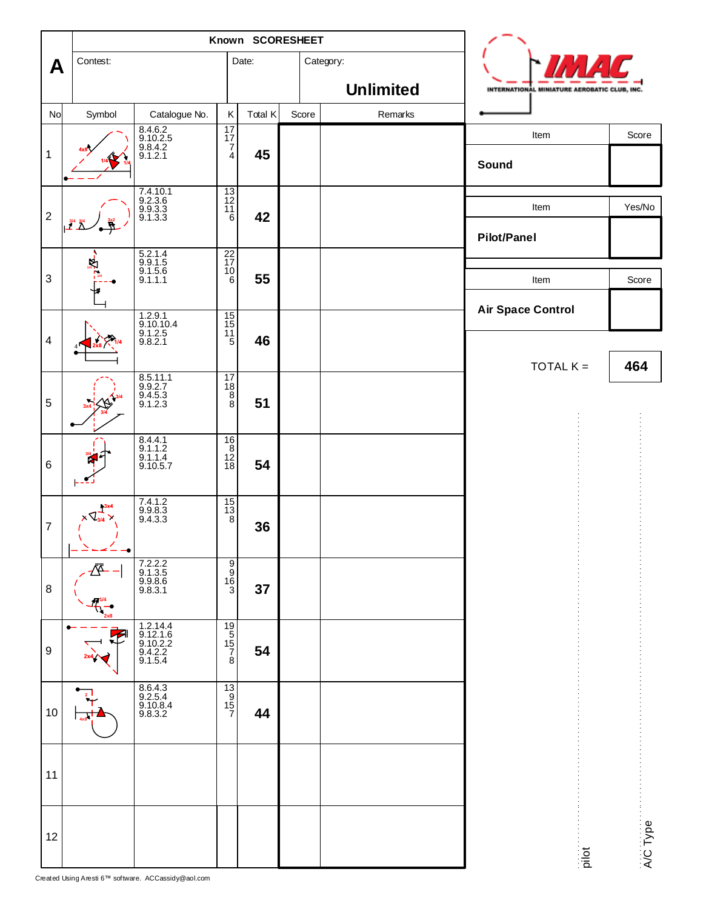|                         |                                    | Known SCORESHEET                                       |                                                     |         |  |                               |         |  |                                              |          |  |
|-------------------------|------------------------------------|--------------------------------------------------------|-----------------------------------------------------|---------|--|-------------------------------|---------|--|----------------------------------------------|----------|--|
| A                       | Contest:                           |                                                        |                                                     | Date:   |  | Category:<br><b>Unlimited</b> |         |  | INTERNATIONAL MINIATURE AEROBATIC CLUB, INC. |          |  |
| No                      | Symbol                             | Catalogue No.                                          | $\sf K$                                             | Total K |  | Score                         | Remarks |  |                                              |          |  |
|                         |                                    |                                                        | $\begin{array}{c}\n17 \\ 17 \\ 7\n\end{array}$      |         |  |                               |         |  | Item                                         | Score    |  |
| $\mathbf{1}$            |                                    | 8.4.6.2<br>9.10.2.5<br>9.8.4.2<br>9.1.2.1              | $\overline{4}$                                      | 45      |  |                               |         |  | Sound                                        |          |  |
| $\mathbf 2$             |                                    | 7.4.10.1<br>9.2.3.6<br>9.9.3.3<br>9.1.3.3              | $\frac{13}{11}$                                     | 42      |  |                               |         |  | Item                                         | Yes/No   |  |
|                         | $\frac{3/4}{2}$                    |                                                        |                                                     |         |  |                               |         |  | <b>Pilot/Panel</b>                           |          |  |
| $\sqrt{3}$              |                                    | 5.2.1.4<br>9.9.1.5<br>9.1.5.6<br>9.1.1.1               | $\frac{22}{17}$<br>$^{10}_{6}$                      | 55      |  |                               |         |  | Item                                         | Score    |  |
|                         |                                    |                                                        |                                                     |         |  |                               |         |  | <b>Air Space Control</b>                     |          |  |
| $\overline{\mathbf{4}}$ |                                    | 1.2.9.1<br>9.10.10.4<br>9.1.2.5<br>9.8.2.1             | $\frac{1}{5}$                                       | 46      |  |                               |         |  |                                              |          |  |
|                         |                                    |                                                        | 17                                                  |         |  |                               |         |  | TOTAL $K =$                                  | 464      |  |
| $\sqrt{5}$              |                                    | 8.5.11.1<br>9.9.2.7<br>9.4.5.3<br>9.1.2.3              | $\begin{array}{c}\n18 \\ 8 \\ 8\n\end{array}$       | 51      |  |                               |         |  |                                              |          |  |
| $\,6$                   |                                    | 8.4.4.1<br>9.1.1.2<br>9.1.1.4<br>9.10.5.7              | $\frac{1}{2}$                                       | 54      |  |                               |         |  |                                              |          |  |
|                         |                                    |                                                        |                                                     |         |  |                               |         |  |                                              |          |  |
| $\overline{7}$          | $+3x4$<br>$\times$ $\sqrt{2}$<br>۰ | $7.4.1.2$<br>9.9.8.3<br>9.4.3.3                        | $\begin{array}{c} 15 \\ 13 \\ 8 \end{array}$        | 36      |  |                               |         |  |                                              |          |  |
| 8                       | 习                                  | 7.2.2.2<br>9.1.3.5<br>9.9.8.6<br>9.8.3.1               | မတ်စစ                                               | 37      |  |                               |         |  |                                              |          |  |
|                         |                                    |                                                        |                                                     |         |  |                               |         |  |                                              |          |  |
| 9                       |                                    | 1.2.14.4<br>9.12.1.6<br>9.10.2.2<br>9.4.2.2<br>9.1.5.4 | $\begin{array}{c}\n19 \\ 15 \\ 7 \\ 8\n\end{array}$ | 54      |  |                               |         |  |                                              |          |  |
| 10                      |                                    | 8.6.4.3<br>9.2.5.4<br>9.10.8.4<br>9.8.3.2              | $\frac{13}{15}$                                     | 44      |  |                               |         |  |                                              |          |  |
| 11                      |                                    |                                                        |                                                     |         |  |                               |         |  |                                              |          |  |
|                         |                                    |                                                        |                                                     |         |  |                               |         |  |                                              |          |  |
| 12                      |                                    |                                                        |                                                     |         |  |                               |         |  | pilot                                        | A/C Type |  |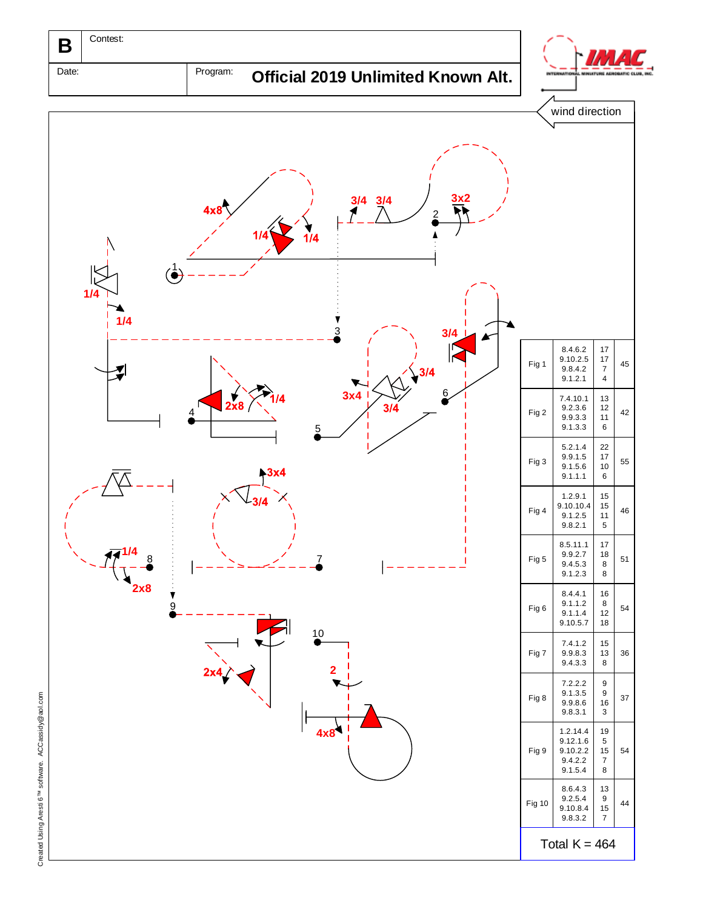

Date: Program: